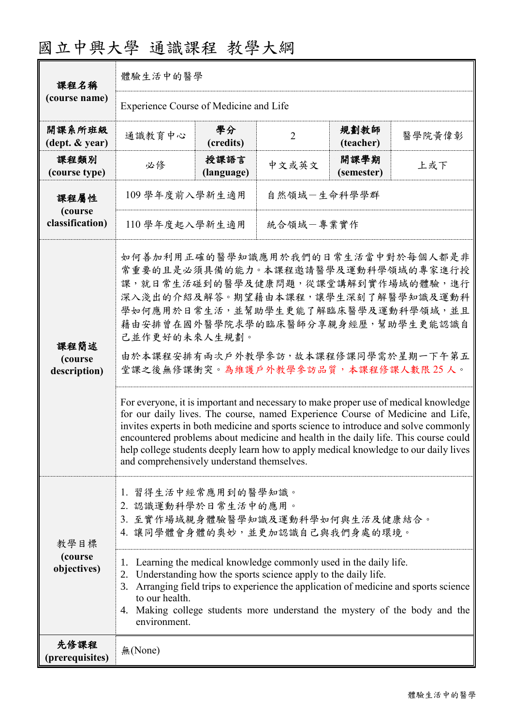| 課程名稱                               | 體驗生活中的醫學                                                                                                                                                                                                                                                                                                                                                                                                                                                                                                                                                                                                                                                                                                                                                                                                                  |                    |                |                    |        |  |  |
|------------------------------------|---------------------------------------------------------------------------------------------------------------------------------------------------------------------------------------------------------------------------------------------------------------------------------------------------------------------------------------------------------------------------------------------------------------------------------------------------------------------------------------------------------------------------------------------------------------------------------------------------------------------------------------------------------------------------------------------------------------------------------------------------------------------------------------------------------------------------|--------------------|----------------|--------------------|--------|--|--|
| (course name)                      | Experience Course of Medicine and Life                                                                                                                                                                                                                                                                                                                                                                                                                                                                                                                                                                                                                                                                                                                                                                                    |                    |                |                    |        |  |  |
| 開課系所班級<br>(dept. & year)           | 通識教育中心                                                                                                                                                                                                                                                                                                                                                                                                                                                                                                                                                                                                                                                                                                                                                                                                                    | 學分<br>(credits)    | $\overline{2}$ | 規劃教師<br>(teacher)  | 醫學院黃偉彰 |  |  |
| 課程類別<br>(course type)              | 必修                                                                                                                                                                                                                                                                                                                                                                                                                                                                                                                                                                                                                                                                                                                                                                                                                        | 授課語言<br>(language) | 中文或英文          | 開課學期<br>(semester) | 上或下    |  |  |
| 課程屬性<br>(course<br>classification) | 109 學年度前入學新生適用                                                                                                                                                                                                                                                                                                                                                                                                                                                                                                                                                                                                                                                                                                                                                                                                            |                    | 自然領域-生命科學學群    |                    |        |  |  |
|                                    | 110 學年度起入學新生適用                                                                                                                                                                                                                                                                                                                                                                                                                                                                                                                                                                                                                                                                                                                                                                                                            |                    | 統合領域一專業實作      |                    |        |  |  |
| 課程簡述<br>(course<br>description)    | 如何善加利用正確的醫學知識應用於我們的日常生活當中對於每個人都是非<br>常重要的且是必須具備的能力。本課程邀請醫學及運動科學領域的專家進行授<br>課,就日常生活碰到的醫學及健康問題,從課堂講解到實作場域的體驗,進行<br>深入淺出的介紹及解答。期望藉由本課程,讓學生深刻了解醫學知識及運動科<br>學如何應用於日常生活,並幫助學生更能了解臨床醫學及運動科學領域,並且<br>藉由安排曾在國外醫學院求學的臨床醫師分享親身經歷,幫助學生更能認識自<br>己並作更好的未來人生規劃。<br>由於本課程安排有兩次戶外教學參訪,故本課程修課同學需於星期一下午第五<br>堂課之後無修課衝突。為維護戶外教學參訪品質,本課程修課人數限25人。<br>For everyone, it is important and necessary to make proper use of medical knowledge<br>for our daily lives. The course, named Experience Course of Medicine and Life,<br>invites experts in both medicine and sports science to introduce and solve commonly<br>encountered problems about medicine and health in the daily life. This course could<br>help college students deeply learn how to apply medical knowledge to our daily lives<br>and comprehensively understand themselves. |                    |                |                    |        |  |  |
| 教學目標<br>(course<br>objectives)     | 1. 習得生活中經常應用到的醫學知識。<br>2. 認識運動科學於日常生活中的應用。<br>3. 至實作場域親身體驗醫學知識及運動科學如何與生活及健康結合。<br>4. 讓同學體會身體的奧妙,並更加認識自己與我們身處的環境。<br>Learning the medical knowledge commonly used in the daily life.<br>1.<br>2. Understanding how the sports science apply to the daily life.<br>Arranging field trips to experience the application of medicine and sports science<br>3.<br>to our health.<br>4. Making college students more understand the mystery of the body and the<br>environment.                                                                                                                                                                                                                                                                                                                                                 |                    |                |                    |        |  |  |
| 先修課程<br>(prerequisites)            | 無(None)                                                                                                                                                                                                                                                                                                                                                                                                                                                                                                                                                                                                                                                                                                                                                                                                                   |                    |                |                    |        |  |  |

## 國立中興大學 通識課程 教學大綱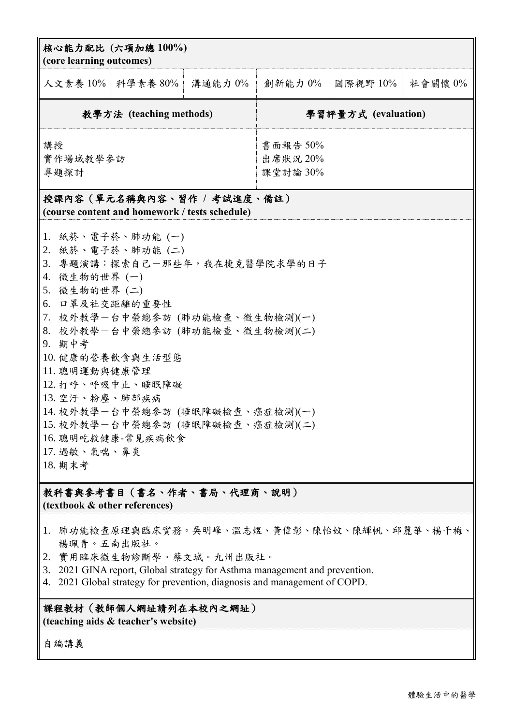|                                                                                                                                                                                                                                                                                                                                                                                                                                                                 | 核心能力配比 (六項加總100%)<br>(core learning outcomes) |         |                                  |             |         |  |
|-----------------------------------------------------------------------------------------------------------------------------------------------------------------------------------------------------------------------------------------------------------------------------------------------------------------------------------------------------------------------------------------------------------------------------------------------------------------|-----------------------------------------------|---------|----------------------------------|-------------|---------|--|
|                                                                                                                                                                                                                                                                                                                                                                                                                                                                 | 人文素養 10%   科學素養 80%                           | 溝通能力 0% | 創新能力 0%                          | 國際視野 $10\%$ | 社會關懷 0% |  |
| 教學方法 (teaching methods)                                                                                                                                                                                                                                                                                                                                                                                                                                         |                                               |         | 學習評量方式 (evaluation)              |             |         |  |
| 講授<br>實作場域教學參訪<br>專題探討                                                                                                                                                                                                                                                                                                                                                                                                                                          |                                               |         | 書面報告 50%<br>出席狀況 20%<br>課堂討論 30% |             |         |  |
| 授課內容 (單元名稱與內容、習作 / 考試進度、備註)                                                                                                                                                                                                                                                                                                                                                                                                                                     |                                               |         |                                  |             |         |  |
| (course content and homework / tests schedule)<br>1. 紙菸、電子菸、肺功能 (一)<br>2. 紙菸、電子菸、肺功能(二)<br>3. 專題演講:探索自己一那些年,我在捷克醫學院求學的日子<br>4. 微生物的世界 (一)<br>5. 微生物的世界 (二)<br>6. 口罩及社交距離的重要性<br>7. 校外教學-台中榮總參訪 (肺功能檢查、微生物檢測)(一)<br>8. 校外教學一台中榮總參訪 (肺功能檢查、微生物檢測)(二)<br>9. 期中考<br>10. 健康的營養飲食與生活型態<br>11. 聰明運動與健康管理<br>12. 打呼、呼吸中止、睡眠障礙<br>13. 空汙、粉塵、肺部疾病<br>14. 校外教學-台中榮總參訪 (睡眠障礙檢查、癌症檢測)(一)<br>15. 校外教學一台中榮總參訪 (睡眠障礙檢查、癌症檢測)(二)<br>16. 聰明吃救健康-常見疾病飲食<br>17. 過敏、氣喘、鼻炎<br>18. 期末考 |                                               |         |                                  |             |         |  |
| 教科書與參考書目(書名、作者、書局、代理商、說明)<br>(textbook & other references)                                                                                                                                                                                                                                                                                                                                                                                                      |                                               |         |                                  |             |         |  |
| 1. 肺功能檢查原理與臨床實務。吳明峰、溫志煜、黃偉彰、陳怡妏、陳輝帆、邱麗華、楊千梅、<br>楊珮青。五南出版社。<br>實用臨床微生物診斷學。蔡文城。九州出版社。<br>2.<br>3. 2021 GINA report, Global strategy for Asthma management and prevention.                                                                                                                                                                                                                                                                                         |                                               |         |                                  |             |         |  |

4. 2021 Global strategy for prevention, diagnosis and management of COPD.

## 課程教材(教師個人網址請列在本校內之網址) **(teaching aids & teacher's website)**

自編講義